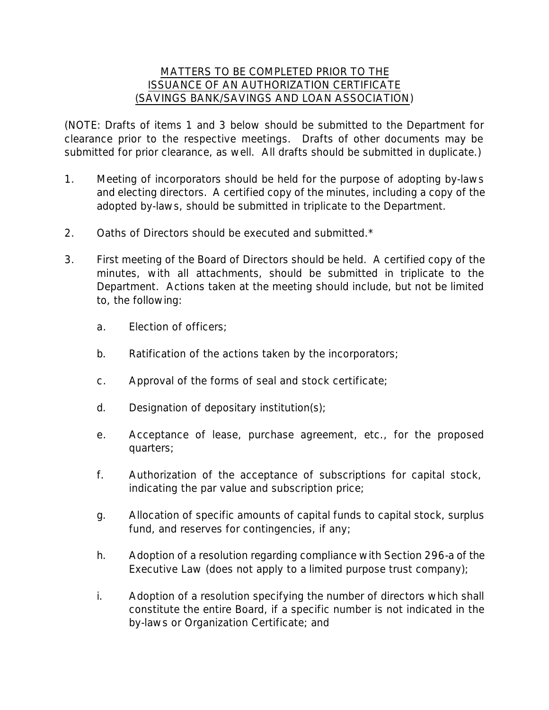## MATTERS TO BE COMPLETED PRIOR TO THE ISSUANCE OF AN AUTHORIZATION CERTIFICATE (SAVINGS BANK/SAVINGS AND LOAN ASSOCIATION)

(NOTE: Drafts of items 1 and 3 below should be submitted to the Department for clearance prior to the respective meetings. Drafts of other documents may be submitted for prior clearance, as well. All drafts should be submitted in duplicate.)

- 1. Meeting of incorporators should be held for the purpose of adopting by-laws and electing directors. A certified copy of the minutes, including a copy of the adopted by-laws, should be submitted in triplicate to the Department.
- 2. Oaths of Directors should be executed and submitted.\*
- 3. First meeting of the Board of Directors should be held. A certified copy of the minutes, with all attachments, should be submitted in triplicate to the Department. Actions taken at the meeting should include, but not be limited to, the following:
	- a. Election of officers;
	- b. Ratification of the actions taken by the incorporators;
	- c. Approval of the forms of seal and stock certificate;
	- d. Designation of depositary institution(s);
	- e. Acceptance of lease, purchase agreement, etc., for the proposed quarters;
	- f. Authorization of the acceptance of subscriptions for capital stock, indicating the par value and subscription price;
	- g. Allocation of specific amounts of capital funds to capital stock, surplus fund, and reserves for contingencies, if any;
	- h. Adoption of a resolution regarding compliance with Section 296-a of the Executive Law (does not apply to a limited purpose trust company);
	- i. Adoption of a resolution specifying the number of directors which shall constitute the entire Board, if a specific number is not indicated in the by-laws or Organization Certificate; and